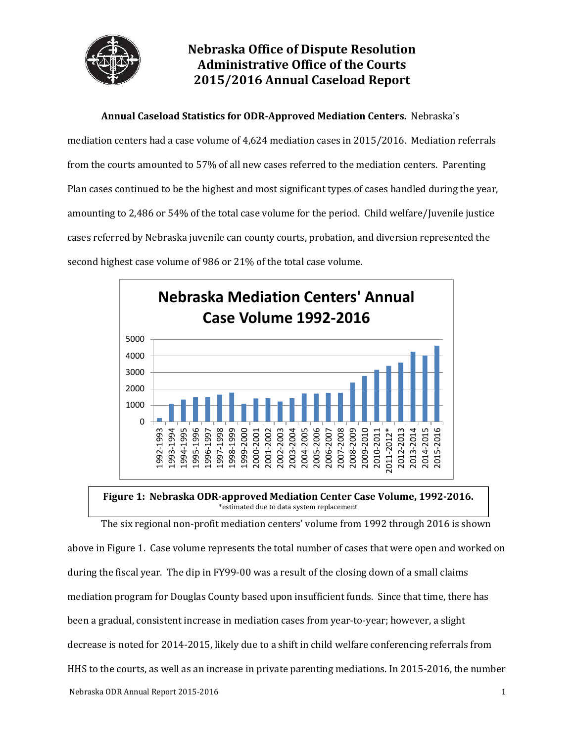

## **Nebraska Office of Dispute Resolution Administrative Office of the Courts 2015/2016 Annual Caseload Report**

**Annual Caseload Statistics for ODR-Approved Mediation Centers.** Nebraska's mediation centers had a case volume of 4,624 mediation cases in 2015/2016. Mediation referrals from the courts amounted to 57% of all new cases referred to the mediation centers. Parenting Plan cases continued to be the highest and most significant types of cases handled during the year, amounting to 2,486 or 54% of the total case volume for the period. Child welfare/Juvenile justice cases referred by Nebraska juvenile can county courts, probation, and diversion represented the second highest case volume of 986 or 21% of the total case volume.



### **Figure 1: Nebraska ODR-approved Mediation Center Case Volume, 1992-2016.** \*estimated due to data system replacement

Nebraska ODR Annual Report 2015-2016 1 The six regional non-profit mediation centers' volume from 1992 through 2016 is shown above in Figure 1. Case volume represents the total number of cases that were open and worked on during the fiscal year. The dip in FY99-00 was a result of the closing down of a small claims mediation program for Douglas County based upon insufficient funds. Since that time, there has been a gradual, consistent increase in mediation cases from year-to-year; however, a slight decrease is noted for 2014-2015, likely due to a shift in child welfare conferencing referrals from HHS to the courts, as well as an increase in private parenting mediations. In 2015-2016, the number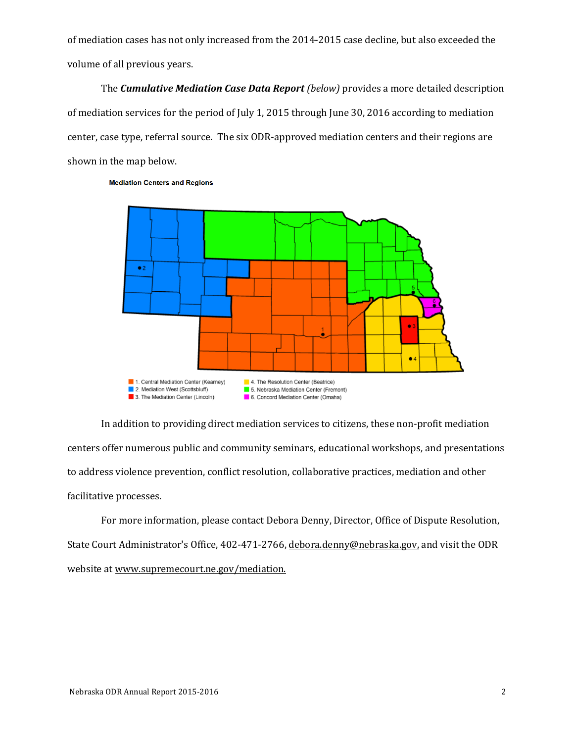of mediation cases has not only increased from the 2014-2015 case decline, but also exceeded the volume of all previous years.

The *Cumulative Mediation Case Data Report (below)* provides a more detailed description of mediation services for the period of July 1, 2015 through June 30, 2016 according to mediation center, case type, referral source. The six ODR-approved mediation centers and their regions are shown in the map below.



**Mediation Centers and Regions** 

In addition to providing direct mediation services to citizens, these non-profit mediation centers offer numerous public and community seminars, educational workshops, and presentations to address violence prevention, conflict resolution, collaborative practices, mediation and other facilitative processes.

For more information, please contact Debora Denny, Director, Office of Dispute Resolution, State Court Administrator's Office, 402-471-2766, [debora.denny@ne](mailto:debora.denny@n)braska.gov, and visit the ODR website a[t www.supremecourt.ne.gov/mediation.](http://www.supremecourt.ne.gov/mediation)